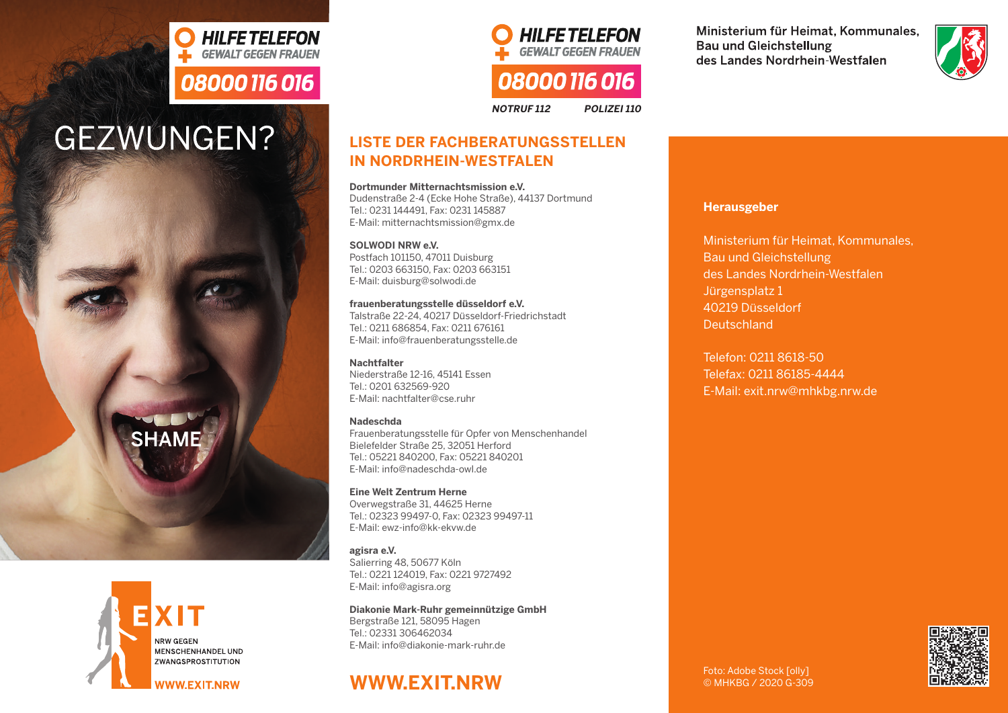

**SHAMF** 

# **Nadeschda**

**HILFE TELEFON** 

**GEWALT GEGEN FRAUEN** 

08000116016

**GEZWUNGEN?** 

Bielefelder Straße 25, 32051 Herford Tel.: 05221 840200, Fax: 05221 840201 E-Mail: info@nadeschda-owl.de

**Eine Welt Zentrum Herne**  Overwegstraße 31, 44625 Herne E-Mail: ewz-info@kk-ekvw.de

**agisra e.V.** Salierring 48, 50677 Köln Tel.: 0221 124019, Fax: 0221 9727492 E-Mail: info@agisra.org

**Diakonie Mark-Ruhr gemeinnützige GmbH** Bergstraße 121, 58095 Hagen Tel.: 02331 306462034 E-Mail: info@diakonie-mark-ruhr.de

## **WWW.EXIT.NRW**





**NOTRUF 112 POLIZEI 110**

**HILFE TELEFON** 

**GEWALT GEGEN FRAUEN** 

08000116016

## **LISTE DER FACHBERATUNGSSTELLEN IN NORDRHEIN-WESTFALEN**

**Dortmunder Mitternachtsmission e.V.** Dudenstraße 2-4 (Ecke Hohe Straße), 44137 Dortmund Tel.: 0231 144491, Fax: 0231 145887 E-Mail: mitternachtsmission@gmx.de

**SOLWODI NRW e.V.** Postfach 101150, 47011 Duisburg Tel.: 0203 663150, Fax: 0203 663151 E-Mail: duisburg@solwodi.de

**frauenberatungsstelle düsseldorf e.V.** Talstraße 22-24, 40217 Düsseldorf-Friedrichstadt Tel.: 0211 686854, Fax: 0211 676161 E-Mail: info@frauenberatungsstelle.de

**Nachtfalter** Niederstraße 12-16, 45141 Essen Tel.: 0201 632569-920 E-Mail: nachtfalter@cse.ruhr

Frauenberatungsstelle für Opfer von Menschenhandel

Tel.: 02323 99497-0, Fax: 02323 99497-11

#### **Herausgeber**

Ministerium für Heimat, Kommunales, Bau und Gleichstellung des Landes Nordrhein-Westfalen Jürgensplatz 1 40219 Düsseldorf Deutschland

Telefon: 0211 8618-50 Telefax: 0211 86185-4444 E-Mail: exit.nrw@mhkbg.nrw.de